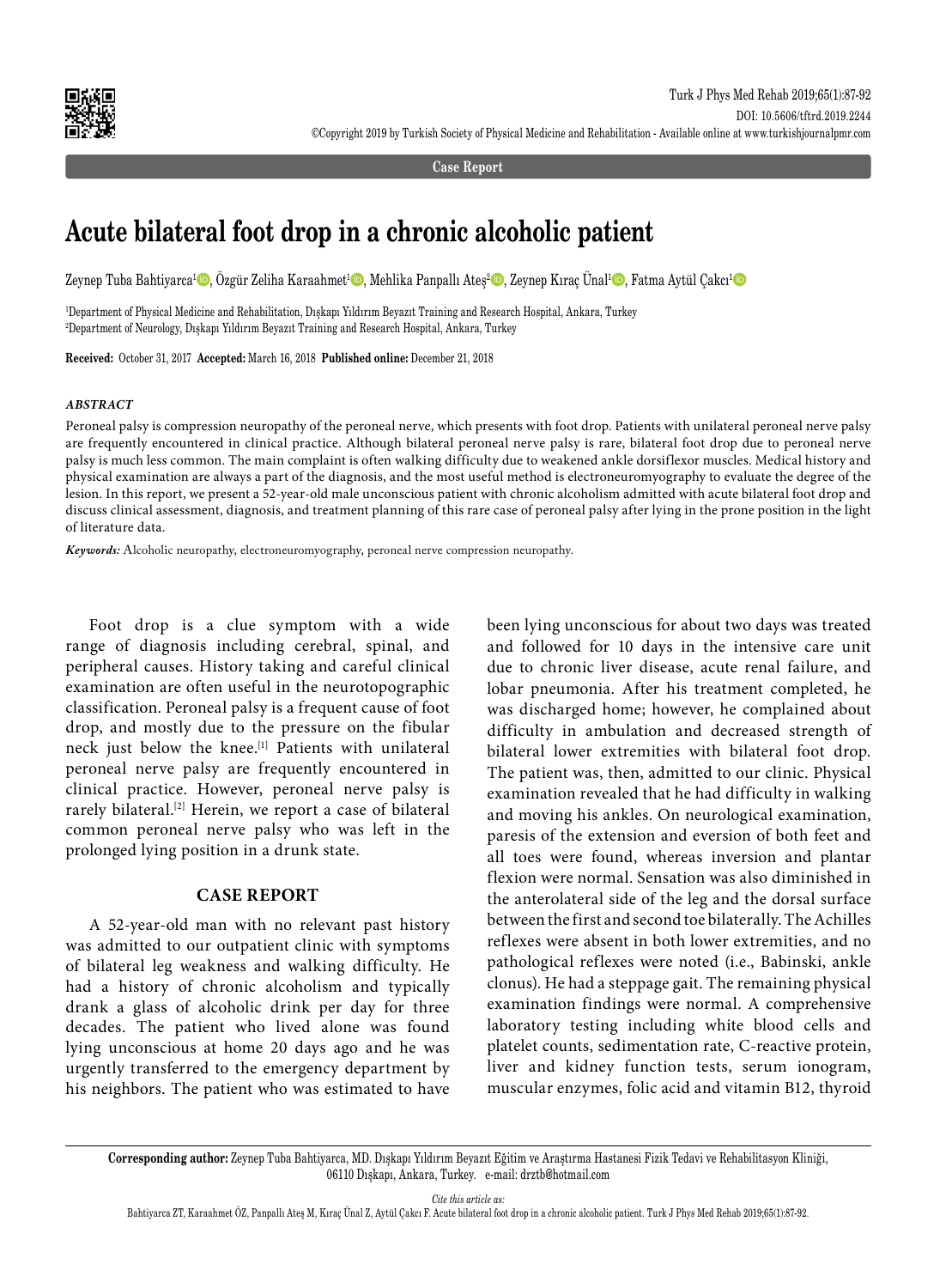

**Case Report**

# **Acute bilateral foot drop in a chronic alcoholic patient**

Zeynep Tuba Bahtiyarca<sup>1</sup>©, Özgür Zeliha Karaahmet<sup>1</sup>©, Mehlika Panpallı Ateş<sup>2</sup>©, Zeynep Kıraç Ünal<sup>ı</sup>©, Fatma Aytül Çakcı<sup>1</sup>©

1 Department of Physical Medicine and Rehabilitation, Dışkapı Yıldırım Beyazıt Training and Research Hospital, Ankara, Turkey 2 Department of Neurology, Dışkapı Yıldırım Beyazıt Training and Research Hospital, Ankara, Turkey

**Received:** October 31, 2017 **Accepted:** March 16, 2018 **Published online:** December 21, 2018

### *ABSTRACT*

Peroneal palsy is compression neuropathy of the peroneal nerve, which presents with foot drop. Patients with unilateral peroneal nerve palsy are frequently encountered in clinical practice. Although bilateral peroneal nerve palsy is rare, bilateral foot drop due to peroneal nerve palsy is much less common. The main complaint is often walking difficulty due to weakened ankle dorsiflexor muscles. Medical history and physical examination are always a part of the diagnosis, and the most useful method is electroneuromyography to evaluate the degree of the lesion. In this report, we present a 52-year-old male unconscious patient with chronic alcoholism admitted with acute bilateral foot drop and discuss clinical assessment, diagnosis, and treatment planning of this rare case of peroneal palsy after lying in the prone position in the light of literature data.

*Keywords:* Alcoholic neuropathy, electroneuromyography, peroneal nerve compression neuropathy.

Foot drop is a clue symptom with a wide range of diagnosis including cerebral, spinal, and peripheral causes. History taking and careful clinical examination are often useful in the neurotopographic classification. Peroneal palsy is a frequent cause of foot drop, and mostly due to the pressure on the fibular neck just below the knee.[1] Patients with unilateral peroneal nerve palsy are frequently encountered in clinical practice. However, peroneal nerve palsy is rarely bilateral.[2] Herein, we report a case of bilateral common peroneal nerve palsy who was left in the prolonged lying position in a drunk state.

## **CASE REPORT**

A 52-year-old man with no relevant past history was admitted to our outpatient clinic with symptoms of bilateral leg weakness and walking difficulty. He had a history of chronic alcoholism and typically drank a glass of alcoholic drink per day for three decades. The patient who lived alone was found lying unconscious at home 20 days ago and he was urgently transferred to the emergency department by his neighbors. The patient who was estimated to have been lying unconscious for about two days was treated and followed for 10 days in the intensive care unit due to chronic liver disease, acute renal failure, and lobar pneumonia. After his treatment completed, he was discharged home; however, he complained about difficulty in ambulation and decreased strength of bilateral lower extremities with bilateral foot drop. The patient was, then, admitted to our clinic. Physical examination revealed that he had difficulty in walking and moving his ankles. On neurological examination, paresis of the extension and eversion of both feet and all toes were found, whereas inversion and plantar flexion were normal. Sensation was also diminished in the anterolateral side of the leg and the dorsal surface between the first and second toe bilaterally. The Achilles reflexes were absent in both lower extremities, and no pathological reflexes were noted (i.e., Babinski, ankle clonus). He had a steppage gait. The remaining physical examination findings were normal. A comprehensive laboratory testing including white blood cells and platelet counts, sedimentation rate, C-reactive protein, liver and kidney function tests, serum ionogram, muscular enzymes, folic acid and vitamin B12, thyroid

*Cite this article as:*

Bahtiyarca ZT, Karaahmet ÖZ, Panpallı Ateş M, Kıraç Ünal Z, Aytül Çakcı F. Acute bilateral foot drop in a chronic alcoholic patient. Turk J Phys Med Rehab 2019;65(1):87-92.

**Corresponding author:** Zeynep Tuba Bahtiyarca, MD. Dışkapı Yıldırım Beyazıt Eğitim ve Araştırma Hastanesi Fizik Tedavi ve Rehabilitasyon Kliniği, 06110 Dışkapı, Ankara, Turkey. e-mail: drztb@hotmail.com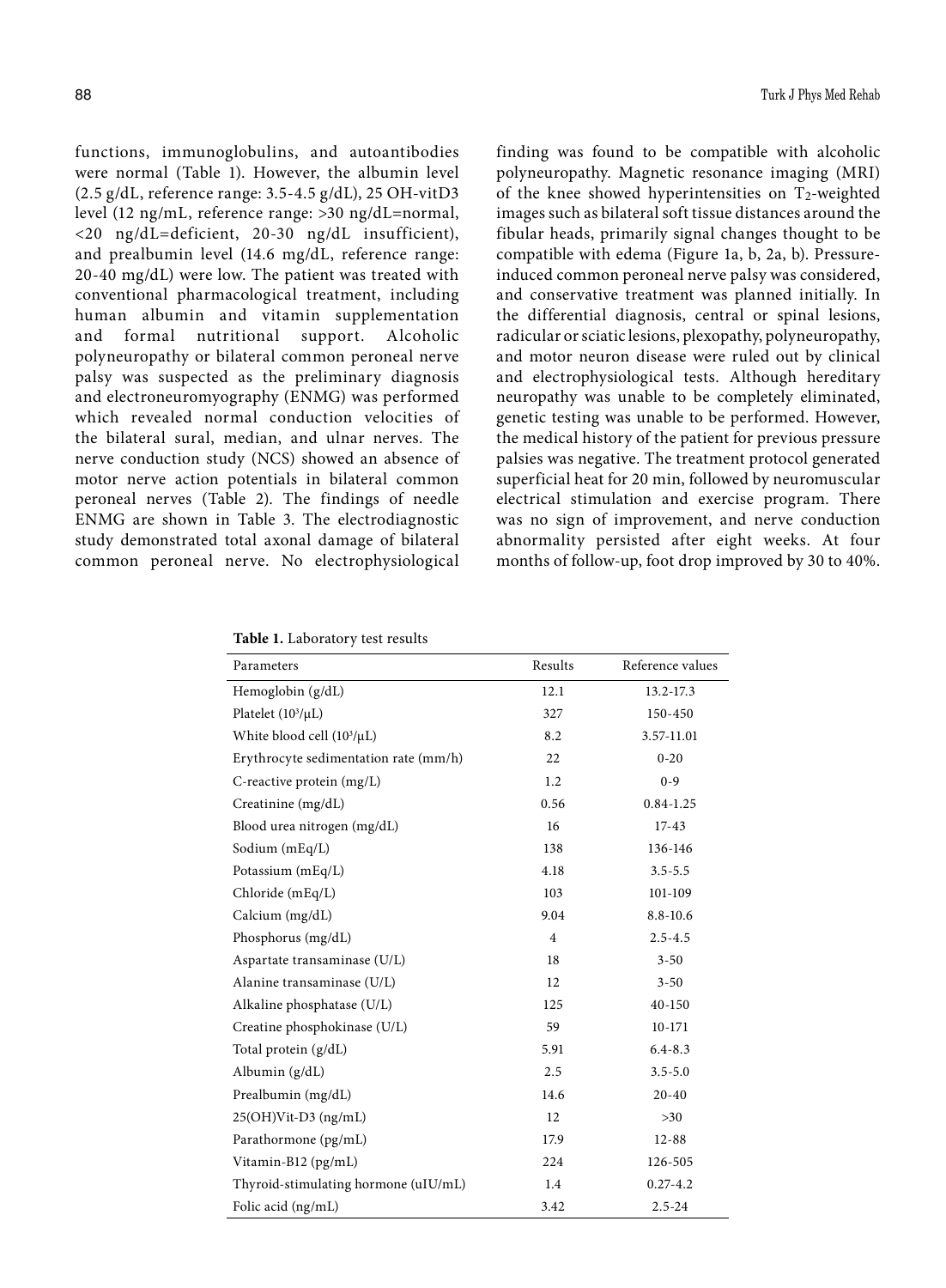functions, immunoglobulins, and autoantibodies were normal (Table 1). However, the albumin level (2.5 g/dL, reference range: 3.5-4.5 g/dL), 25 OH-vitD3 level (12 ng/mL, reference range: >30 ng/dL=normal, <20 ng/dL=deficient, 20-30 ng/dL insufficient), and prealbumin level (14.6 mg/dL, reference range: 20-40 mg/dL) were low. The patient was treated with conventional pharmacological treatment, including human albumin and vitamin supplementation and formal nutritional support. Alcoholic polyneuropathy or bilateral common peroneal nerve palsy was suspected as the preliminary diagnosis and electroneuromyography (ENMG) was performed which revealed normal conduction velocities of the bilateral sural, median, and ulnar nerves. The nerve conduction study (NCS) showed an absence of motor nerve action potentials in bilateral common peroneal nerves (Table 2). The findings of needle ENMG are shown in Table 3. The electrodiagnostic study demonstrated total axonal damage of bilateral common peroneal nerve. No electrophysiological

finding was found to be compatible with alcoholic polyneuropathy. Magnetic resonance imaging (MRI) of the knee showed hyperintensities on  $T_2$ -weighted images such as bilateral soft tissue distances around the fibular heads, primarily signal changes thought to be compatible with edema (Figure 1a, b, 2a, b). Pressureinduced common peroneal nerve palsy was considered, and conservative treatment was planned initially. In the differential diagnosis, central or spinal lesions, radicular or sciatic lesions, plexopathy, polyneuropathy, and motor neuron disease were ruled out by clinical and electrophysiological tests. Although hereditary neuropathy was unable to be completely eliminated, genetic testing was unable to be performed. However, the medical history of the patient for previous pressure palsies was negative. The treatment protocol generated superficial heat for 20 min, followed by neuromuscular electrical stimulation and exercise program. There was no sign of improvement, and nerve conduction abnormality persisted after eight weeks. At four months of follow-up, foot drop improved by 30 to 40%.

|  |  |  | Table 1. Laboratory test results |  |
|--|--|--|----------------------------------|--|
|--|--|--|----------------------------------|--|

| Parameters                            | Results        | Reference values |
|---------------------------------------|----------------|------------------|
| Hemoglobin $(g/dL)$                   | 12.1           | 13.2-17.3        |
| Platelet $(10^3/\mu L)$               | 327            | 150-450          |
| White blood cell $(10^3/\mu L)$       | 8.2            | 3.57-11.01       |
| Erythrocyte sedimentation rate (mm/h) | 22             | $0 - 20$         |
| C-reactive protein (mg/L)             | 1.2            | $0 - 9$          |
| Creatinine (mg/dL)                    | 0.56           | $0.84 - 1.25$    |
| Blood urea nitrogen (mg/dL)           | 16             | $17 - 43$        |
| Sodium (mEq/L)                        | 138            | 136-146          |
| Potassium (mEq/L)                     | 4.18           | $3.5 - 5.5$      |
| Chloride (mEq/L)                      | 103            | 101-109          |
| Calcium (mg/dL)                       | 9.04           | $8.8 - 10.6$     |
| Phosphorus (mg/dL)                    | $\overline{4}$ | $2.5 - 4.5$      |
| Aspartate transaminase (U/L)          | 18             | $3 - 50$         |
| Alanine transaminase (U/L)            | 12             | $3 - 50$         |
| Alkaline phosphatase (U/L)            | 125            | 40-150           |
| Creatine phosphokinase (U/L)          | 59             | 10-171           |
| Total protein (g/dL)                  | 5.91           | $6.4 - 8.3$      |
| Albumin $(g/dL)$                      | 2.5            | $3.5 - 5.0$      |
| Prealbumin (mg/dL)                    | 14.6           | $20 - 40$        |
| $25(OH)V$ it-D3 (ng/mL)               | 12             | $>30$            |
| Parathormone (pg/mL)                  | 17.9           | $12 - 88$        |
| Vitamin-B12 (pg/mL)                   | 224            | 126-505          |
| Thyroid-stimulating hormone (uIU/mL)  | 1.4            | $0.27 - 4.2$     |
| Folic acid (ng/mL)                    | 3.42           | $2.5 - 24$       |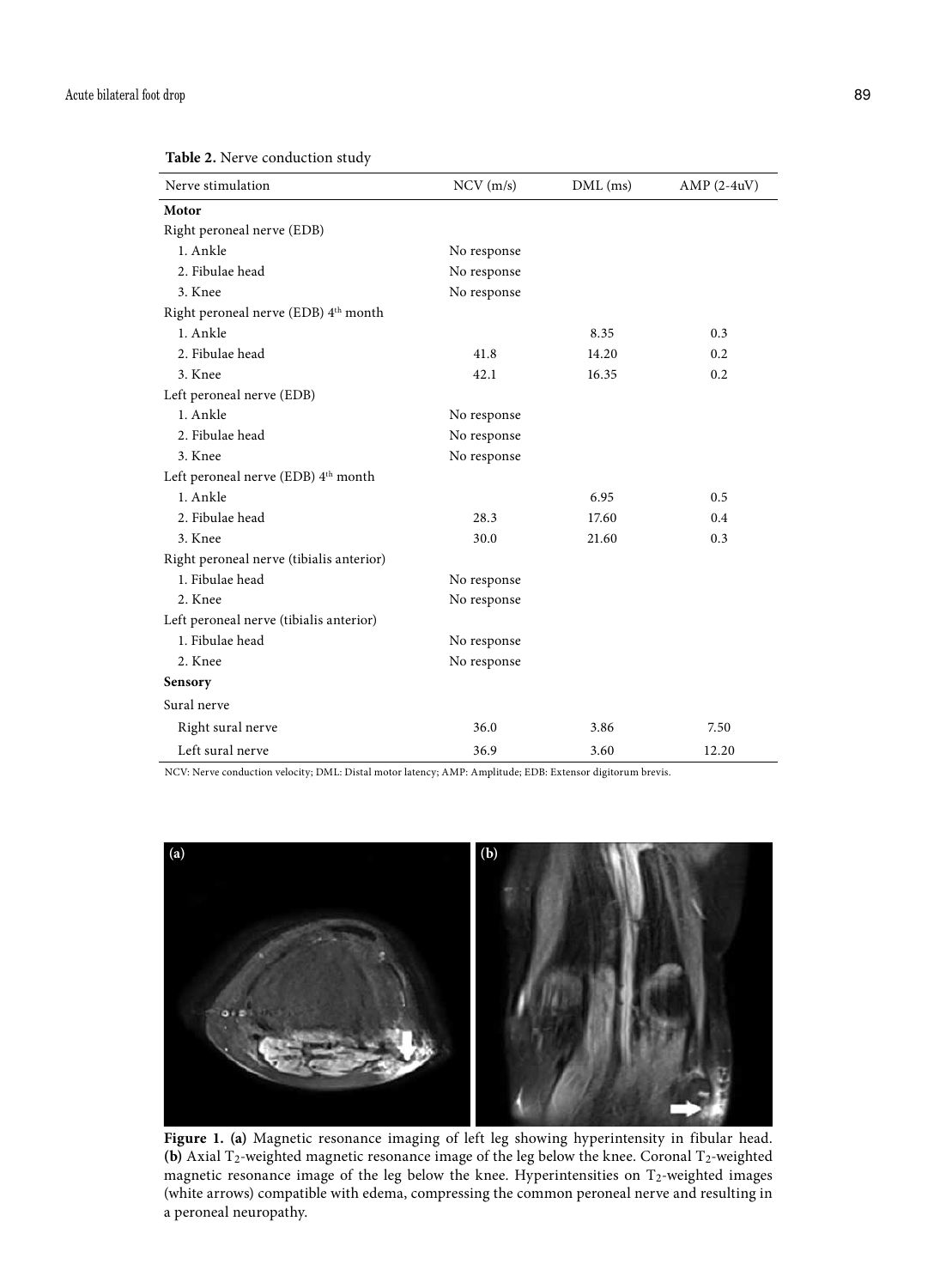| Nerve stimulation                               | $NCV$ (m/s) | $DML$ (ms) | $AMP (2-4uV)$ |
|-------------------------------------------------|-------------|------------|---------------|
| Motor                                           |             |            |               |
| Right peroneal nerve (EDB)                      |             |            |               |
| 1. Ankle                                        | No response |            |               |
| 2. Fibulae head                                 | No response |            |               |
| 3. Knee                                         | No response |            |               |
| Right peroneal nerve (EDB) 4th month            |             |            |               |
| 1. Ankle                                        |             | 8.35       | 0.3           |
| 2. Fibulae head                                 | 41.8        | 14.20      | 0.2           |
| 3. Knee                                         | 42.1        | 16.35      | 0.2           |
| Left peroneal nerve (EDB)                       |             |            |               |
| 1. Ankle                                        | No response |            |               |
| 2. Fibulae head                                 | No response |            |               |
| 3. Knee                                         | No response |            |               |
| Left peroneal nerve (EDB) 4 <sup>th</sup> month |             |            |               |
| 1. Ankle                                        |             | 6.95       | 0.5           |
| 2. Fibulae head                                 | 28.3        | 17.60      | 0.4           |
| 3. Knee                                         | 30.0        | 21.60      | 0.3           |
| Right peroneal nerve (tibialis anterior)        |             |            |               |
| 1. Fibulae head                                 | No response |            |               |
| 2. Knee                                         | No response |            |               |
| Left peroneal nerve (tibialis anterior)         |             |            |               |
| 1. Fibulae head                                 | No response |            |               |
| 2. Knee                                         | No response |            |               |
| Sensory                                         |             |            |               |
| Sural nerve                                     |             |            |               |
| Right sural nerve                               | 36.0        | 3.86       | 7.50          |
| Left sural nerve                                | 36.9        | 3.60       | 12.20         |

NCV: Nerve conduction velocity; DML: Distal motor latency; AMP: Amplitude; EDB: Extensor digitorum brevis.



**Figure 1. (a)** Magnetic resonance imaging of left leg showing hyperintensity in fibular head. (b) Axial T<sub>2</sub>-weighted magnetic resonance image of the leg below the knee. Coronal T<sub>2</sub>-weighted magnetic resonance image of the leg below the knee. Hyperintensities on T<sub>2</sub>-weighted images (white arrows) compatible with edema, compressing the common peroneal nerve and resulting in a peroneal neuropathy.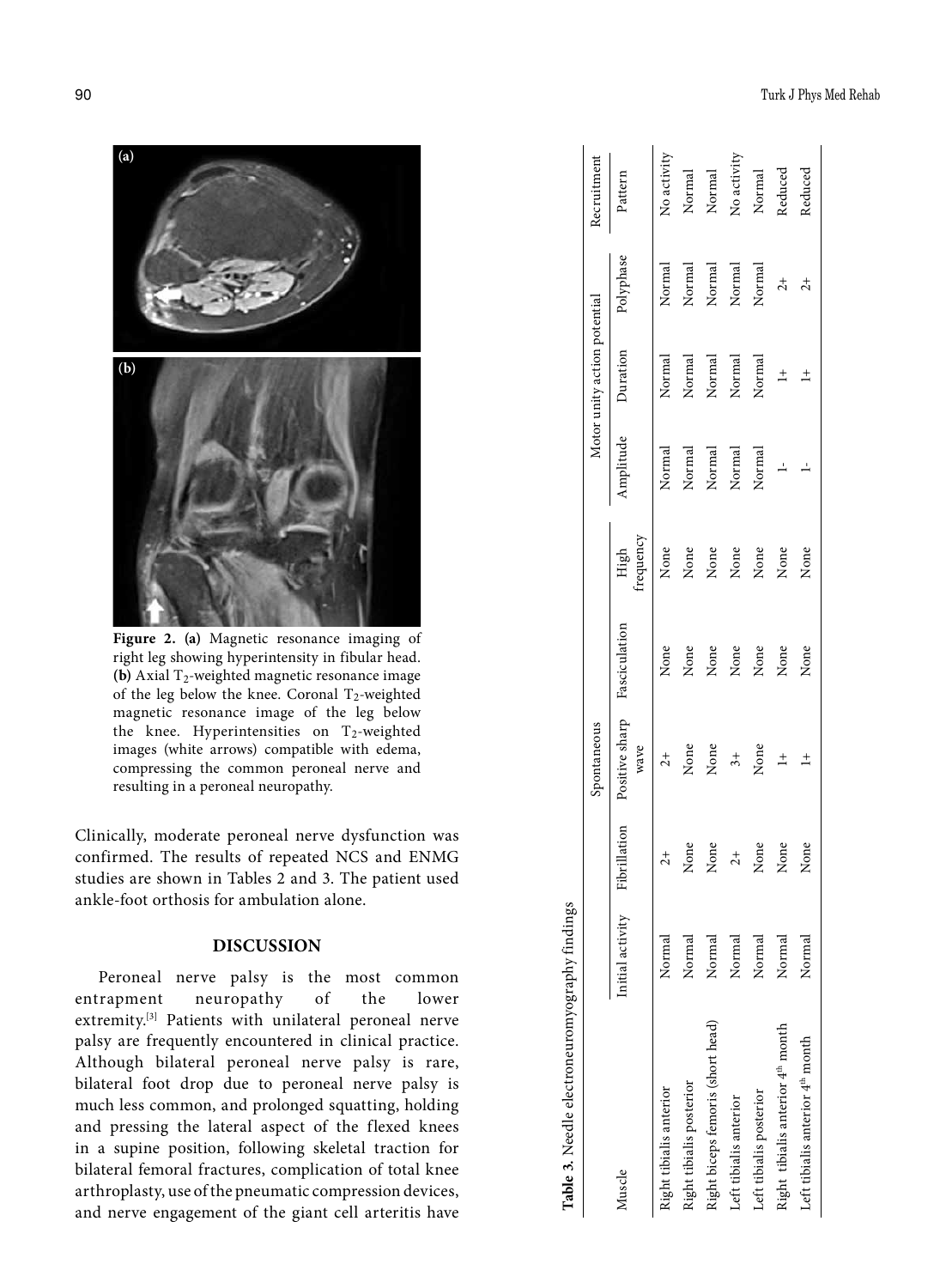

**Figure 2. (a)** Magnetic resonance imaging of right leg showing hyperintensity in fibular head. **(b)** Axial T 2-weighted magnetic resonance image of the leg below the knee. Coronal T 2-weighted magnetic resonance image of the leg below the knee. Hyperintensities on T 2-weighted images (white arrows) compatible with edema, compressing the common peroneal nerve and resulting in a peroneal neuropathy.

Clinically, moderate peroneal nerve dysfunction was confirmed. The results of repeated NCS and ENMG studies are shown in Tables 2 and 3. The patient used ankle-foot orthosis for ambulation alone.

## **DISCUSSION**

Peroneal nerve palsy is the most common entrapment neuropathy of the lower extremity.<sup>[3]</sup> Patients with unilateral peroneal nerve palsy are frequently encountered in clinical practice. Although bilateral peroneal nerve palsy is rare, bilateral foot drop due to peroneal nerve palsy is much less common, and prolonged squatting, holding and pressing the lateral aspect of the flexed knees in a supine position, following skeletal traction for bilateral femoral fractures, complication of total knee arthroplasty, use of the pneumatic compression devices, and nerve engagement of the giant cell arteritis have

| Table 3. Needle electroneuromyography findings |                  |               |                        |               |                   |                                      |                              |                |             |
|------------------------------------------------|------------------|---------------|------------------------|---------------|-------------------|--------------------------------------|------------------------------|----------------|-------------|
|                                                |                  |               | Spontaneous            |               |                   |                                      | Motor unity action potential |                | Recruitment |
| Muscle                                         | Initial activity | Fibrillation  | Positive sharp<br>wave | Fasciculation | trequency<br>High | Amplitude                            | Duration                     | Polyphase      | Pattern     |
| Right tibialis anterior                        | Normal           | $\frac{1}{2}$ | $\overline{c}$         | None          | None              | Normal                               | Norma                        | Normal         | No activity |
| Right tibialis posterior                       | Normal           | None          | None                   | None          | None              | Normal                               | Normal                       | Normal         | Normal      |
| Right biceps femoris (short head)              | Normal           | None          | None                   | None          | None              | $\label{normalization} {\rm Normal}$ | Normal                       | Normal         | Normal      |
| Left tibialis anterior                         | Normal           | $\frac{1}{2}$ | $\ddot{3}$ +           | None          | None              | Normal                               | Normal                       | Normal         | No activity |
| Left tibialis posterior                        | Normal           | None          | None                   | None          | None              | Normal                               | Normal                       | Normal         | Normal      |
| Right tibialis anterior 4 <sup>th</sup> month  | Normal           | None          | $\pm$                  | None          | None              | $\overline{a}$                       | $\pm$                        | $\ddot{c}$     | Reduced     |
| Left tibialis anterior 4 <sup>th</sup> month   | Normal           | None          | $\pm$                  | None          | None              |                                      | $\pm$                        | $\overline{c}$ | Reduced     |
|                                                |                  |               |                        |               |                   |                                      |                              |                |             |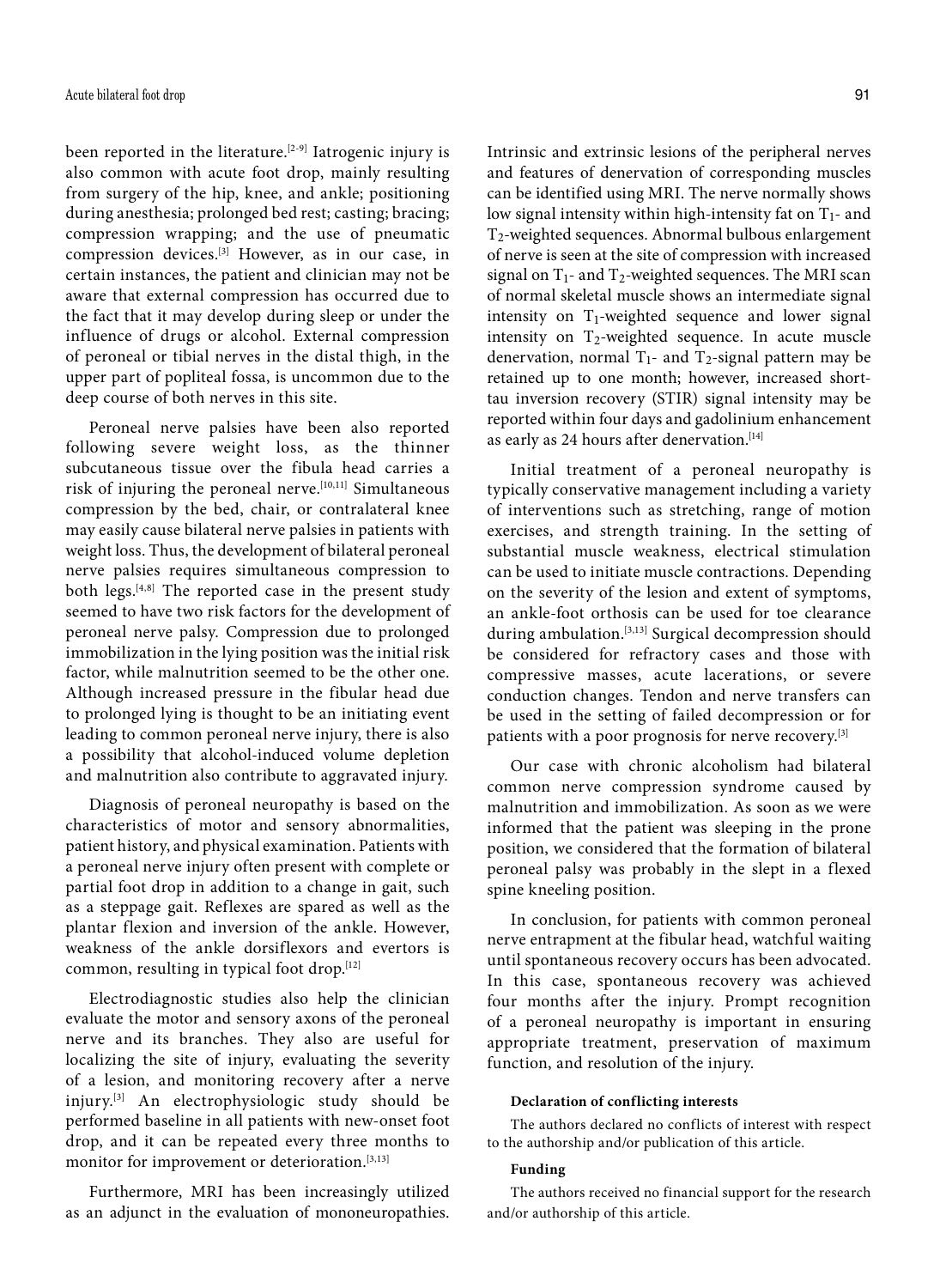been reported in the literature.<sup>[2-9]</sup> Iatrogenic injury is also common with acute foot drop, mainly resulting from surgery of the hip, knee, and ankle; positioning during anesthesia; prolonged bed rest; casting; bracing; compression wrapping; and the use of pneumatic compression devices.[3] However, as in our case, in certain instances, the patient and clinician may not be aware that external compression has occurred due to the fact that it may develop during sleep or under the influence of drugs or alcohol. External compression of peroneal or tibial nerves in the distal thigh, in the upper part of popliteal fossa, is uncommon due to the deep course of both nerves in this site.

Peroneal nerve palsies have been also reported following severe weight loss, as the thinner subcutaneous tissue over the fibula head carries a risk of injuring the peroneal nerve.<sup>[10,11]</sup> Simultaneous compression by the bed, chair, or contralateral knee may easily cause bilateral nerve palsies in patients with weight loss. Thus, the development of bilateral peroneal nerve palsies requires simultaneous compression to both legs.[4,8] The reported case in the present study seemed to have two risk factors for the development of peroneal nerve palsy. Compression due to prolonged immobilization in the lying position was the initial risk factor, while malnutrition seemed to be the other one. Although increased pressure in the fibular head due to prolonged lying is thought to be an initiating event leading to common peroneal nerve injury, there is also a possibility that alcohol-induced volume depletion and malnutrition also contribute to aggravated injury.

Diagnosis of peroneal neuropathy is based on the characteristics of motor and sensory abnormalities, patient history, and physical examination. Patients with a peroneal nerve injury often present with complete or partial foot drop in addition to a change in gait, such as a steppage gait. Reflexes are spared as well as the plantar flexion and inversion of the ankle. However, weakness of the ankle dorsiflexors and evertors is common, resulting in typical foot drop.[12]

Electrodiagnostic studies also help the clinician evaluate the motor and sensory axons of the peroneal nerve and its branches. They also are useful for localizing the site of injury, evaluating the severity of a lesion, and monitoring recovery after a nerve injury.[3] An electrophysiologic study should be performed baseline in all patients with new-onset foot drop, and it can be repeated every three months to monitor for improvement or deterioration.<sup>[3,13]</sup>

Furthermore, MRI has been increasingly utilized as an adjunct in the evaluation of mononeuropathies. Intrinsic and extrinsic lesions of the peripheral nerves and features of denervation of corresponding muscles can be identified using MRI. The nerve normally shows low signal intensity within high-intensity fat on  $T_1$ - and T2-weighted sequences. Abnormal bulbous enlargement of nerve is seen at the site of compression with increased signal on  $T_1$ - and  $T_2$ -weighted sequences. The MRI scan of normal skeletal muscle shows an intermediate signal intensity on  $T_1$ -weighted sequence and lower signal intensity on T<sub>2</sub>-weighted sequence. In acute muscle denervation, normal  $T_1$ - and  $T_2$ -signal pattern may be retained up to one month; however, increased shorttau inversion recovery (STIR) signal intensity may be reported within four days and gadolinium enhancement as early as 24 hours after denervation.<sup>[14]</sup>

Initial treatment of a peroneal neuropathy is typically conservative management including a variety of interventions such as stretching, range of motion exercises, and strength training. In the setting of substantial muscle weakness, electrical stimulation can be used to initiate muscle contractions. Depending on the severity of the lesion and extent of symptoms, an ankle-foot orthosis can be used for toe clearance during ambulation.[3,13] Surgical decompression should be considered for refractory cases and those with compressive masses, acute lacerations, or severe conduction changes. Tendon and nerve transfers can be used in the setting of failed decompression or for patients with a poor prognosis for nerve recovery.<sup>[3]</sup>

Our case with chronic alcoholism had bilateral common nerve compression syndrome caused by malnutrition and immobilization. As soon as we were informed that the patient was sleeping in the prone position, we considered that the formation of bilateral peroneal palsy was probably in the slept in a flexed spine kneeling position.

In conclusion, for patients with common peroneal nerve entrapment at the fibular head, watchful waiting until spontaneous recovery occurs has been advocated. In this case, spontaneous recovery was achieved four months after the injury. Prompt recognition of a peroneal neuropathy is important in ensuring appropriate treatment, preservation of maximum function, and resolution of the injury.

#### **Declaration of conflicting interests**

The authors declared no conflicts of interest with respect to the authorship and/or publication of this article.

#### **Funding**

The authors received no financial support for the research and/or authorship of this article.